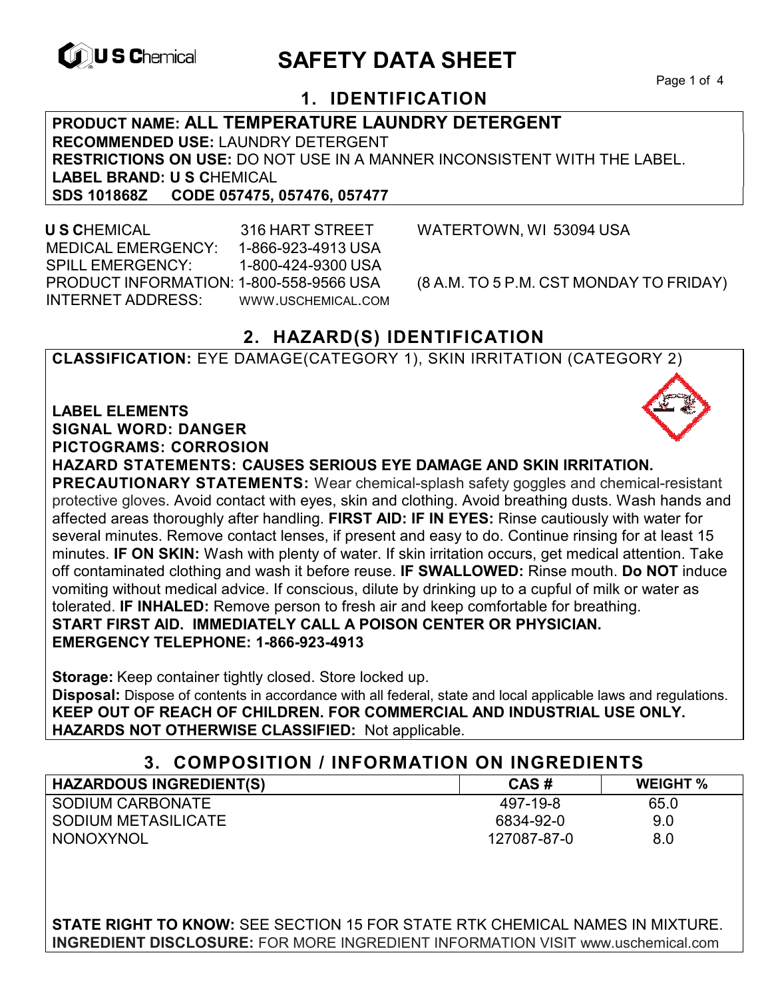

# **EXAGREM** SAFETY DATA SHEET

Page 1 of 4

# **1. IDENTIFICATION**

**PRODUCT NAME: ALL TEMPERATURE LAUNDRY DETERGENT RECOMMENDED USE:** LAUNDRY DETERGENT **RESTRICTIONS ON USE:** DO NOT USE IN A MANNER INCONSISTENT WITH THE LABEL. LABEL BRAND: U S CHEMICAL<br>SDS 101868Z CODE 057475. **SDS 101868Z CODE 057475, 057476, 057477** 

 **U S C**HEMICAL 316 HART STREET WATERTOWN, WI 53094 USA MEDICAL EMERGENCY: 1-866-923-4913 USA SPILL EMERGENCY: 1-800-424-9300 USA PRODUCT INFORMATION: 1-800-558-9566 USA (8 A.M. TO 5 P.M. CST MONDAY TO FRIDAY) INTERNET ADDRESS: WWW.USCHEMICAL.COM

## **2. HAZARD(S) IDENTIFICATION**

**CLASSIFICATION:** EYE DAMAGE(CATEGORY 1), SKIN IRRITATION (CATEGORY 2)

**LABEL ELEMENTS SIGNAL WORD: DANGER PICTOGRAMS: CORROSION**

**HAZARD STATEMENTS: CAUSES SERIOUS EYE DAMAGE AND SKIN IRRITATION.** 

**PRECAUTIONARY STATEMENTS:** Wear chemical-splash safety goggles and chemical-resistant protective gloves. Avoid contact with eyes, skin and clothing. Avoid breathing dusts. Wash hands and affected areas thoroughly after handling. **FIRST AID: IF IN EYES:** Rinse cautiously with water for several minutes. Remove contact lenses, if present and easy to do. Continue rinsing for at least 15 minutes. **IF ON SKIN:** Wash with plenty of water. If skin irritation occurs, get medical attention. Take off contaminated clothing and wash it before reuse. **IF SWALLOWED:** Rinse mouth. **Do NOT** induce vomiting without medical advice. If conscious, dilute by drinking up to a cupful of milk or water as tolerated. **IF INHALED:** Remove person to fresh air and keep comfortable for breathing. **START FIRST AID. IMMEDIATELY CALL A POISON CENTER OR PHYSICIAN. EMERGENCY TELEPHONE: 1-866-923-4913**

**Storage:** Keep container tightly closed. Store locked up.

**Disposal:** Dispose of contents in accordance with all federal, state and local applicable laws and regulations. **KEEP OUT OF REACH OF CHILDREN. FOR COMMERCIAL AND INDUSTRIAL USE ONLY. HAZARDS NOT OTHERWISE CLASSIFIED:** Not applicable.

#### **3. COMPOSITION / INFORMATION ON INGREDIENTS**

| <b>HAZARDOUS INGREDIENT(S)</b> | CAS#        | <b>WEIGHT %</b> |
|--------------------------------|-------------|-----------------|
| SODIUM CARBONATE               | 497-19-8    | 65.0            |
| I SODIUM METASILICATE          | 6834-92-0   | 9.0             |
| NONOXYNOL                      | 127087-87-0 | 8.0             |

**STATE RIGHT TO KNOW:** SEE SECTION 15 FOR STATE RTK CHEMICAL NAMES IN MIXTURE. **INGREDIENT DISCLOSURE:** FOR MORE INGREDIENT INFORMATION VISIT www.uschemical.com

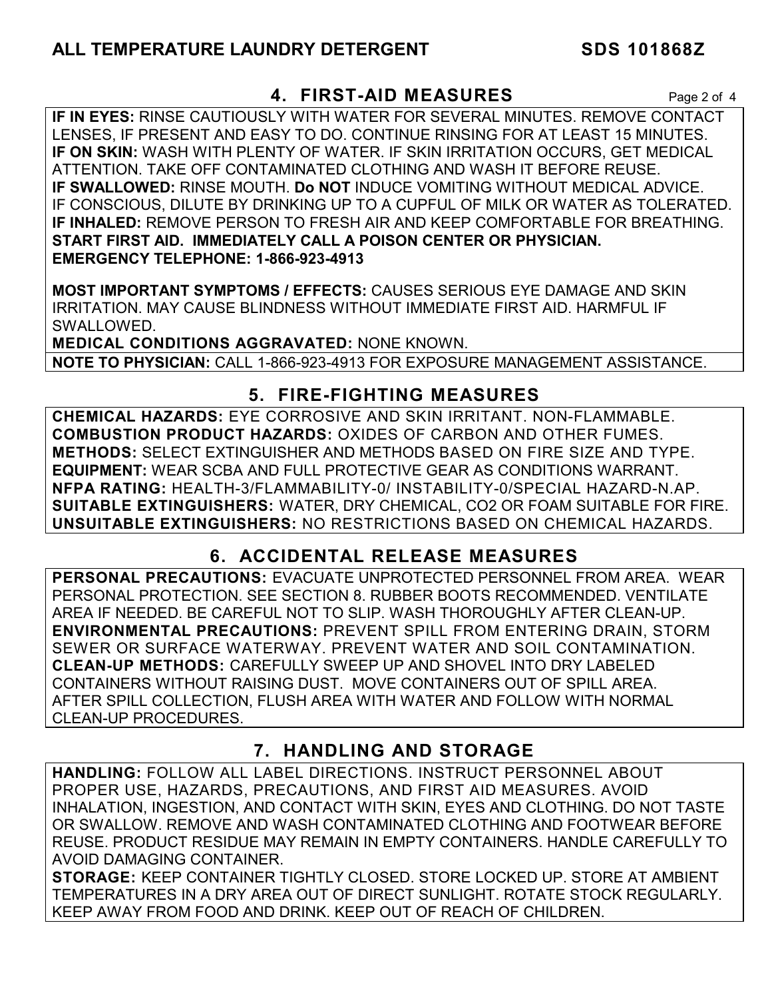#### **4. FIRST-AID MEASURES** Page 2 of 4

**IF IN EYES:** RINSE CAUTIOUSLY WITH WATER FOR SEVERAL MINUTES. REMOVE CONTACT LENSES, IF PRESENT AND EASY TO DO. CONTINUE RINSING FOR AT LEAST 15 MINUTES. **IF ON SKIN:** WASH WITH PLENTY OF WATER. IF SKIN IRRITATION OCCURS, GET MEDICAL ATTENTION. TAKE OFF CONTAMINATED CLOTHING AND WASH IT BEFORE REUSE. **IF SWALLOWED:** RINSE MOUTH. **Do NOT** INDUCE VOMITING WITHOUT MEDICAL ADVICE. IF CONSCIOUS, DILUTE BY DRINKING UP TO A CUPFUL OF MILK OR WATER AS TOLERATED. **IF INHALED:** REMOVE PERSON TO FRESH AIR AND KEEP COMFORTABLE FOR BREATHING. **START FIRST AID. IMMEDIATELY CALL A POISON CENTER OR PHYSICIAN. EMERGENCY TELEPHONE: 1-866-923-4913**

**MOST IMPORTANT SYMPTOMS / EFFECTS:** CAUSES SERIOUS EYE DAMAGE AND SKIN IRRITATION. MAY CAUSE BLINDNESS WITHOUT IMMEDIATE FIRST AID. HARMFUL IF SWALLOWED.

**MEDICAL CONDITIONS AGGRAVATED:** NONE KNOWN. **NOTE TO PHYSICIAN:** CALL 1-866-923-4913 FOR EXPOSURE MANAGEMENT ASSISTANCE.

### **5. FIRE-FIGHTING MEASURES**

**CHEMICAL HAZARDS:** EYE CORROSIVE AND SKIN IRRITANT. NON-FLAMMABLE. **COMBUSTION PRODUCT HAZARDS:** OXIDES OF CARBON AND OTHER FUMES. **METHODS:** SELECT EXTINGUISHER AND METHODS BASED ON FIRE SIZE AND TYPE. **EQUIPMENT:** WEAR SCBA AND FULL PROTECTIVE GEAR AS CONDITIONS WARRANT. **NFPA RATING:** HEALTH-3/FLAMMABILITY-0/ INSTABILITY-0/SPECIAL HAZARD-N.AP. **SUITABLE EXTINGUISHERS:** WATER, DRY CHEMICAL, CO2 OR FOAM SUITABLE FOR FIRE. **UNSUITABLE EXTINGUISHERS:** NO RESTRICTIONS BASED ON CHEMICAL HAZARDS.

# **6. ACCIDENTAL RELEASE MEASURES**

**PERSONAL PRECAUTIONS:** EVACUATE UNPROTECTED PERSONNEL FROM AREA. WEAR PERSONAL PROTECTION. SEE SECTION 8. RUBBER BOOTS RECOMMENDED. VENTILATE AREA IF NEEDED. BE CAREFUL NOT TO SLIP. WASH THOROUGHLY AFTER CLEAN-UP. **ENVIRONMENTAL PRECAUTIONS:** PREVENT SPILL FROM ENTERING DRAIN, STORM SEWER OR SURFACE WATERWAY. PREVENT WATER AND SOIL CONTAMINATION. **CLEAN-UP METHODS:** CAREFULLY SWEEP UP AND SHOVEL INTO DRY LABELED CONTAINERS WITHOUT RAISING DUST. MOVE CONTAINERS OUT OF SPILL AREA. AFTER SPILL COLLECTION, FLUSH AREA WITH WATER AND FOLLOW WITH NORMAL CLEAN-UP PROCEDURES.

# **7. HANDLING AND STORAGE**

**HANDLING:** FOLLOW ALL LABEL DIRECTIONS. INSTRUCT PERSONNEL ABOUT PROPER USE, HAZARDS, PRECAUTIONS, AND FIRST AID MEASURES. AVOID INHALATION, INGESTION, AND CONTACT WITH SKIN, EYES AND CLOTHING. DO NOT TASTE OR SWALLOW. REMOVE AND WASH CONTAMINATED CLOTHING AND FOOTWEAR BEFORE REUSE. PRODUCT RESIDUE MAY REMAIN IN EMPTY CONTAINERS. HANDLE CAREFULLY TO AVOID DAMAGING CONTAINER.

**STORAGE:** KEEP CONTAINER TIGHTLY CLOSED. STORE LOCKED UP. STORE AT AMBIENT TEMPERATURES IN A DRY AREA OUT OF DIRECT SUNLIGHT. ROTATE STOCK REGULARLY. KEEP AWAY FROM FOOD AND DRINK. KEEP OUT OF REACH OF CHILDREN.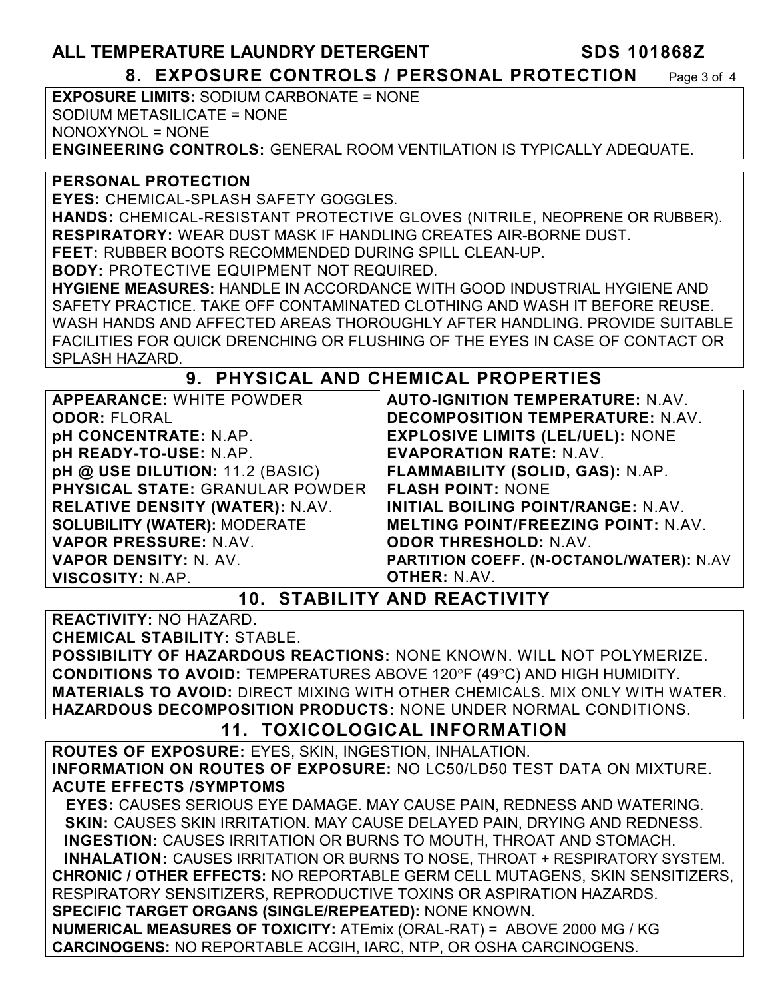#### **ALL TEMPERATURE LAUNDRY DETERGENT SDS 101868Z 8. EXPOSURE CONTROLS / PERSONAL PROTECTION** Page 3 of 4

**EXPOSURE LIMITS:** SODIUM CARBONATE = NONE SODIUM METASILICATE = NONE NONOXYNOL = NONE **ENGINEERING CONTROLS:** GENERAL ROOM VENTILATION IS TYPICALLY ADEQUATE.

**PERSONAL PROTECTION** 

**EYES:** CHEMICAL-SPLASH SAFETY GOGGLES.

**HANDS:** CHEMICAL-RESISTANT PROTECTIVE GLOVES (NITRILE, NEOPRENE OR RUBBER). **RESPIRATORY:** WEAR DUST MASK IF HANDLING CREATES AIR-BORNE DUST.

**FEET:** RUBBER BOOTS RECOMMENDED DURING SPILL CLEAN-UP.

**BODY:** PROTECTIVE EQUIPMENT NOT REQUIRED.

**HYGIENE MEASURES:** HANDLE IN ACCORDANCE WITH GOOD INDUSTRIAL HYGIENE AND SAFETY PRACTICE. TAKE OFF CONTAMINATED CLOTHING AND WASH IT BEFORE REUSE. WASH HANDS AND AFFECTED AREAS THOROUGHLY AFTER HANDLING. PROVIDE SUITABLE FACILITIES FOR QUICK DRENCHING OR FLUSHING OF THE EYES IN CASE OF CONTACT OR SPLASH HAZARD.

# **9. PHYSICAL AND CHEMICAL PROPERTIES**

**APPEARANCE:** WHITE POWDER **ODOR:** FLORAL **pH CONCENTRATE:** N.AP. **pH READY-TO-USE:** N.AP. **pH @ USE DILUTION:** 11.2 (BASIC) **PHYSICAL STATE:** GRANULAR POWDER **RELATIVE DENSITY (WATER):** N.AV. **SOLUBILITY (WATER):** MODERATE **VAPOR PRESSURE:** N.AV. **VAPOR DENSITY:** N. AV. **VISCOSITY:** N.AP.

**AUTO-IGNITION TEMPERATURE:** N.AV. **DECOMPOSITION TEMPERATURE:** N.AV. **EXPLOSIVE LIMITS (LEL/UEL):** NONE **EVAPORATION RATE:** N.AV. **FLAMMABILITY (SOLID, GAS):** N.AP. **FLASH POINT:** NONE **INITIAL BOILING POINT/RANGE:** N.AV. **MELTING POINT/FREEZING POINT:** N.AV. **ODOR THRESHOLD:** N.AV. **PARTITION COEFF. (N-OCTANOL/WATER):** N.AV **OTHER:** N.AV.

**10. STABILITY AND REACTIVITY** 

**REACTIVITY:** NO HAZARD.

**CHEMICAL STABILITY:** STABLE.

**POSSIBILITY OF HAZARDOUS REACTIONS:** NONE KNOWN. WILL NOT POLYMERIZE. **CONDITIONS TO AVOID: TEMPERATURES ABOVE 120°F (49°C) AND HIGH HUMIDITY. MATERIALS TO AVOID:** DIRECT MIXING WITH OTHER CHEMICALS. MIX ONLY WITH WATER. **HAZARDOUS DECOMPOSITION PRODUCTS:** NONE UNDER NORMAL CONDITIONS.

# **11. TOXICOLOGICAL INFORMATION**

**ROUTES OF EXPOSURE:** EYES, SKIN, INGESTION, INHALATION. **INFORMATION ON ROUTES OF EXPOSURE:** NO LC50/LD50 TEST DATA ON MIXTURE. **ACUTE EFFECTS /SYMPTOMS**

 **EYES:** CAUSES SERIOUS EYE DAMAGE. MAY CAUSE PAIN, REDNESS AND WATERING. **SKIN:** CAUSES SKIN IRRITATION. MAY CAUSE DELAYED PAIN, DRYING AND REDNESS. **INGESTION:** CAUSES IRRITATION OR BURNS TO MOUTH, THROAT AND STOMACH. **INHALATION:** CAUSES IRRITATION OR BURNS TO NOSE, THROAT + RESPIRATORY SYSTEM. **CHRONIC / OTHER EFFECTS:** NO REPORTABLE GERM CELL MUTAGENS, SKIN SENSITIZERS, RESPIRATORY SENSITIZERS, REPRODUCTIVE TOXINS OR ASPIRATION HAZARDS. **SPECIFIC TARGET ORGANS (SINGLE/REPEATED):** NONE KNOWN.

**NUMERICAL MEASURES OF TOXICITY:** ATEmix (ORAL-RAT) = ABOVE 2000 MG / KG **CARCINOGENS:** NO REPORTABLE ACGIH, IARC, NTP, OR OSHA CARCINOGENS.